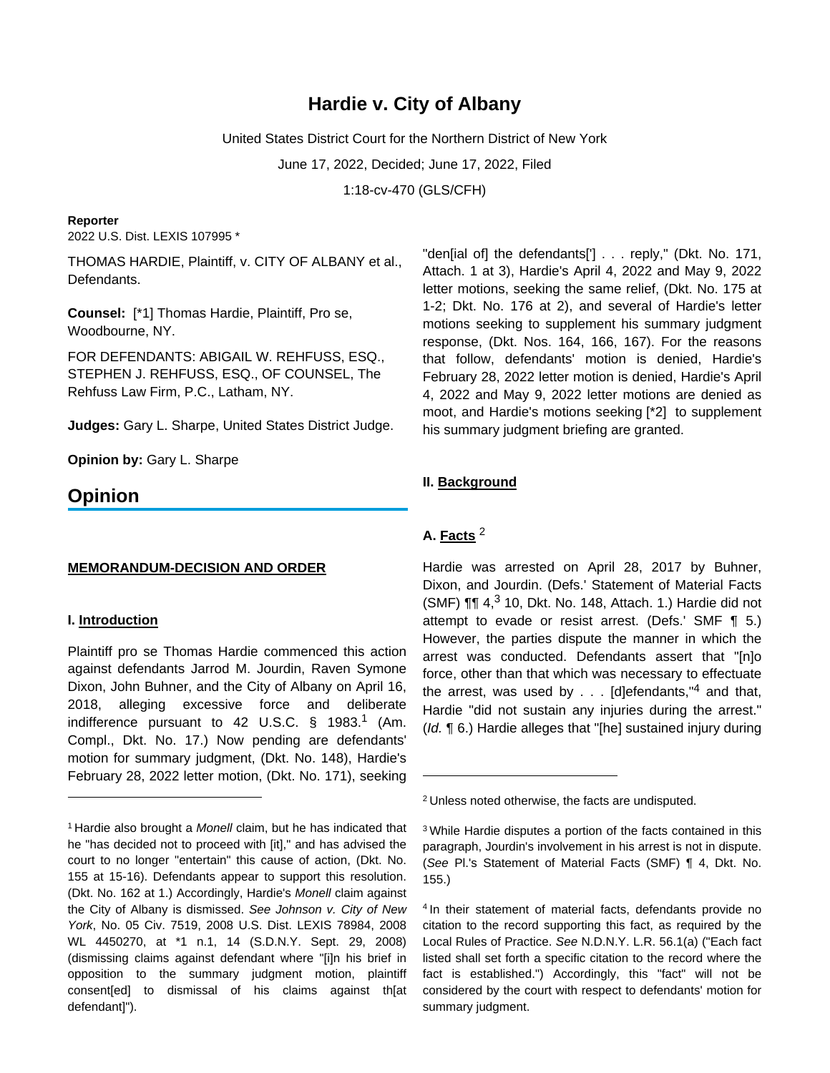# **Hardie v. City of Albany**

United States District Court for the Northern District of New York

June 17, 2022, Decided; June 17, 2022, Filed

1:18-cv-470 (GLS/CFH)

#### **Reporter**

2022 U.S. Dist. LEXIS 107995 \*

THOMAS HARDIE, Plaintiff, v. CITY OF ALBANY et al., Defendants.

**Counsel:** [\*1] Thomas Hardie, Plaintiff, Pro se, Woodbourne, NY.

FOR DEFENDANTS: ABIGAIL W. REHFUSS, ESQ., STEPHEN J. REHFUSS, ESQ., OF COUNSEL, The Rehfuss Law Firm, P.C., Latham, NY.

**Judges:** Gary L. Sharpe, United States District Judge.

**Opinion by:** Gary L. Sharpe

## **Opinion**

### **MEMORANDUM-DECISION AND ORDER**

#### **I. Introduction**

Plaintiff pro se Thomas Hardie commenced this action against defendants Jarrod M. Jourdin, Raven Symone Dixon, John Buhner, and the City of Albany on April 16, 2018, alleging excessive force and deliberate indifference pursuant to 42 U.S.C.  $\S$  1983.<sup>1</sup> (Am. Compl., Dkt. No. 17.) Now pending are defendants' motion for summary judgment, (Dkt. No. 148), Hardie's February 28, 2022 letter motion, (Dkt. No. 171), seeking

"den[ial of] the defendants['] . . . reply," (Dkt. No. 171, Attach. 1 at 3), Hardie's April 4, 2022 and May 9, 2022 letter motions, seeking the same relief, (Dkt. No. 175 at 1-2; Dkt. No. 176 at 2), and several of Hardie's letter motions seeking to supplement his summary judgment response, (Dkt. Nos. 164, 166, 167). For the reasons that follow, defendants' motion is denied, Hardie's February 28, 2022 letter motion is denied, Hardie's April 4, 2022 and May 9, 2022 letter motions are denied as moot, and Hardie's motions seeking [\*2] to supplement his summary judgment briefing are granted.

#### **II. Background**

## **A. Facts** <sup>2</sup>

Hardie was arrested on April 28, 2017 by Buhner, Dixon, and Jourdin. (Defs.' Statement of Material Facts (SMF)  $\P\P$  4,<sup>3</sup> 10, Dkt. No. 148, Attach. 1.) Hardie did not attempt to evade or resist arrest. (Defs.' SMF ¶ 5.) However, the parties dispute the manner in which the arrest was conducted. Defendants assert that "[n]o force, other than that which was necessary to effectuate the arrest, was used by  $\ldots$  [d]efendants,"<sup>4</sup> and that, Hardie "did not sustain any injuries during the arrest." (Id. ¶ 6.) Hardie alleges that "[he] sustained injury during

<sup>&</sup>lt;sup>1</sup> Hardie also brought a Monell claim, but he has indicated that he "has decided not to proceed with [it]," and has advised the court to no longer "entertain" this cause of action, (Dkt. No. 155 at 15-16). Defendants appear to support this resolution. (Dkt. No. 162 at 1.) Accordingly, Hardie's Monell claim against the City of Albany is dismissed. See Johnson v. City of New York, No. 05 Civ. 7519, 2008 U.S. Dist. LEXIS 78984, 2008 WL 4450270, at \*1 n.1, 14 (S.D.N.Y. Sept. 29, 2008) (dismissing claims against defendant where "[i]n his brief in opposition to the summary judgment motion, plaintiff consent[ed] to dismissal of his claims against th[at defendant]").

<sup>2</sup>Unless noted otherwise, the facts are undisputed.

<sup>3</sup>While Hardie disputes a portion of the facts contained in this paragraph, Jourdin's involvement in his arrest is not in dispute. (See Pl.'s Statement of Material Facts (SMF) ¶ 4, Dkt. No. 155.)

<sup>&</sup>lt;sup>4</sup> In their statement of material facts, defendants provide no citation to the record supporting this fact, as required by the Local Rules of Practice. See N.D.N.Y. L.R. 56.1(a) ("Each fact listed shall set forth a specific citation to the record where the fact is established.") Accordingly, this "fact" will not be considered by the court with respect to defendants' motion for summary judgment.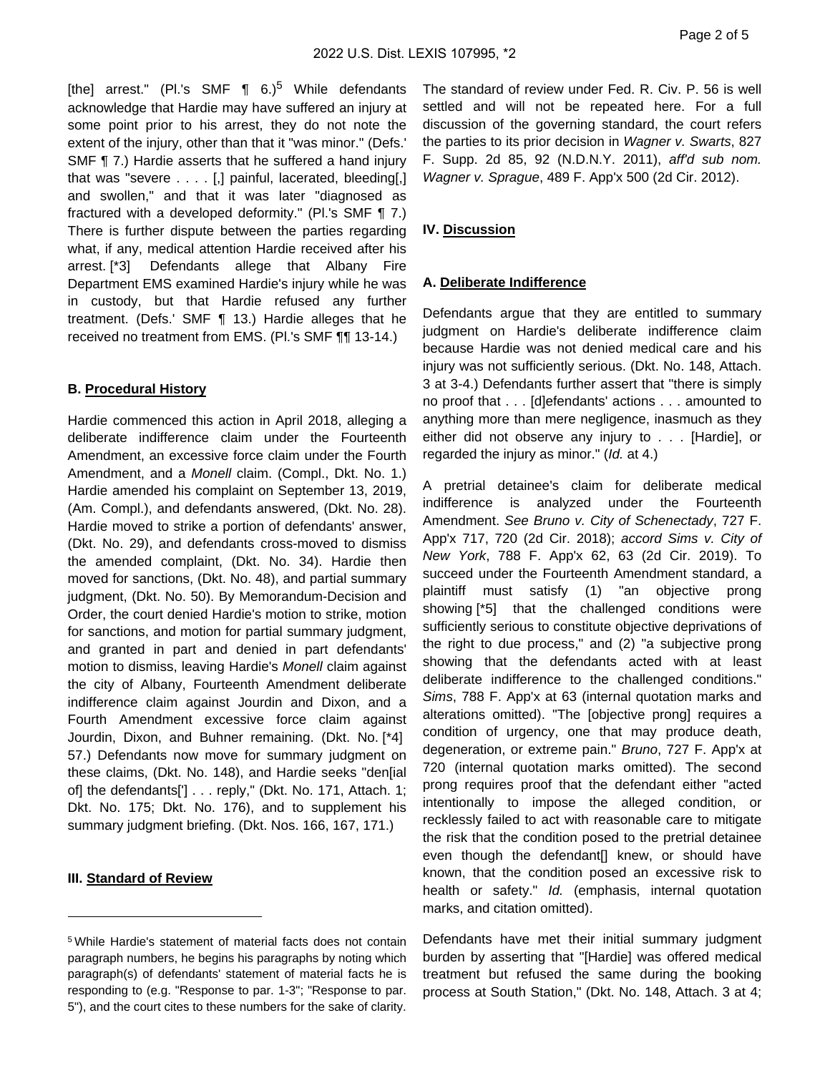[the] arrest." (Pl.'s SMF  $\P$  6.)<sup>5</sup> While defendants acknowledge that Hardie may have suffered an injury at some point prior to his arrest, they do not note the extent of the injury, other than that it "was minor." (Defs.' SMF ¶ 7.) Hardie asserts that he suffered a hand injury that was "severe . . . . [,] painful, lacerated, bleeding[,] and swollen," and that it was later "diagnosed as fractured with a developed deformity." (Pl.'s SMF ¶ 7.) There is further dispute between the parties regarding what, if any, medical attention Hardie received after his arrest. [\*3] Defendants allege that Albany Fire Department EMS examined Hardie's injury while he was in custody, but that Hardie refused any further treatment. (Defs.' SMF ¶ 13.) Hardie alleges that he received no treatment from EMS. (Pl.'s SMF ¶¶ 13-14.)

#### **B. Procedural History**

Hardie commenced this action in April 2018, alleging a deliberate indifference claim under the Fourteenth Amendment, an excessive force claim under the Fourth Amendment, and a Monell claim. (Compl., Dkt. No. 1.) Hardie amended his complaint on September 13, 2019, (Am. Compl.), and defendants answered, (Dkt. No. 28). Hardie moved to strike a portion of defendants' answer, (Dkt. No. 29), and defendants cross-moved to dismiss the amended complaint, (Dkt. No. 34). Hardie then moved for sanctions, (Dkt. No. 48), and partial summary judgment, (Dkt. No. 50). By Memorandum-Decision and Order, the court denied Hardie's motion to strike, motion for sanctions, and motion for partial summary judgment, and granted in part and denied in part defendants' motion to dismiss, leaving Hardie's Monell claim against the city of Albany, Fourteenth Amendment deliberate indifference claim against Jourdin and Dixon, and a Fourth Amendment excessive force claim against Jourdin, Dixon, and Buhner remaining. (Dkt. No. [\*4] 57.) Defendants now move for summary judgment on these claims, (Dkt. No. 148), and Hardie seeks "den[ial of] the defendants['] . . . reply," (Dkt. No. 171, Attach. 1; Dkt. No. 175; Dkt. No. 176), and to supplement his summary judgment briefing. (Dkt. Nos. 166, 167, 171.)

#### **III. Standard of Review**

The standard of review under Fed. R. Civ. P. 56 is well settled and will not be repeated here. For a full discussion of the governing standard, the court refers the parties to its prior decision in Wagner v. Swarts, 827 F. Supp. 2d 85, 92 (N.D.N.Y. 2011), aff'd sub nom. Wagner v. Sprague, 489 F. App'x 500 (2d Cir. 2012).

#### **IV. Discussion**

#### **A. Deliberate Indifference**

Defendants argue that they are entitled to summary judgment on Hardie's deliberate indifference claim because Hardie was not denied medical care and his injury was not sufficiently serious. (Dkt. No. 148, Attach. 3 at 3-4.) Defendants further assert that "there is simply no proof that . . . [d]efendants' actions . . . amounted to anything more than mere negligence, inasmuch as they either did not observe any injury to . . . [Hardie], or regarded the injury as minor." (Id. at 4.)

A pretrial detainee's claim for deliberate medical indifference is analyzed under the Fourteenth Amendment. See Bruno v. City of Schenectady, 727 F. App'x 717, 720 (2d Cir. 2018); accord Sims v. City of New York, 788 F. App'x 62, 63 (2d Cir. 2019). To succeed under the Fourteenth Amendment standard, a plaintiff must satisfy (1) "an objective prong showing [\*5] that the challenged conditions were sufficiently serious to constitute objective deprivations of the right to due process," and (2) "a subjective prong showing that the defendants acted with at least deliberate indifference to the challenged conditions." Sims, 788 F. App'x at 63 (internal quotation marks and alterations omitted). "The [objective prong] requires a condition of urgency, one that may produce death, degeneration, or extreme pain." Bruno, 727 F. App'x at 720 (internal quotation marks omitted). The second prong requires proof that the defendant either "acted intentionally to impose the alleged condition, or recklessly failed to act with reasonable care to mitigate the risk that the condition posed to the pretrial detainee even though the defendant[] knew, or should have known, that the condition posed an excessive risk to health or safety." Id. (emphasis, internal quotation marks, and citation omitted).

Defendants have met their initial summary judgment burden by asserting that "[Hardie] was offered medical treatment but refused the same during the booking process at South Station," (Dkt. No. 148, Attach. 3 at 4;

<sup>5</sup>While Hardie's statement of material facts does not contain paragraph numbers, he begins his paragraphs by noting which paragraph(s) of defendants' statement of material facts he is responding to (e.g. "Response to par. 1-3"; "Response to par. 5"), and the court cites to these numbers for the sake of clarity.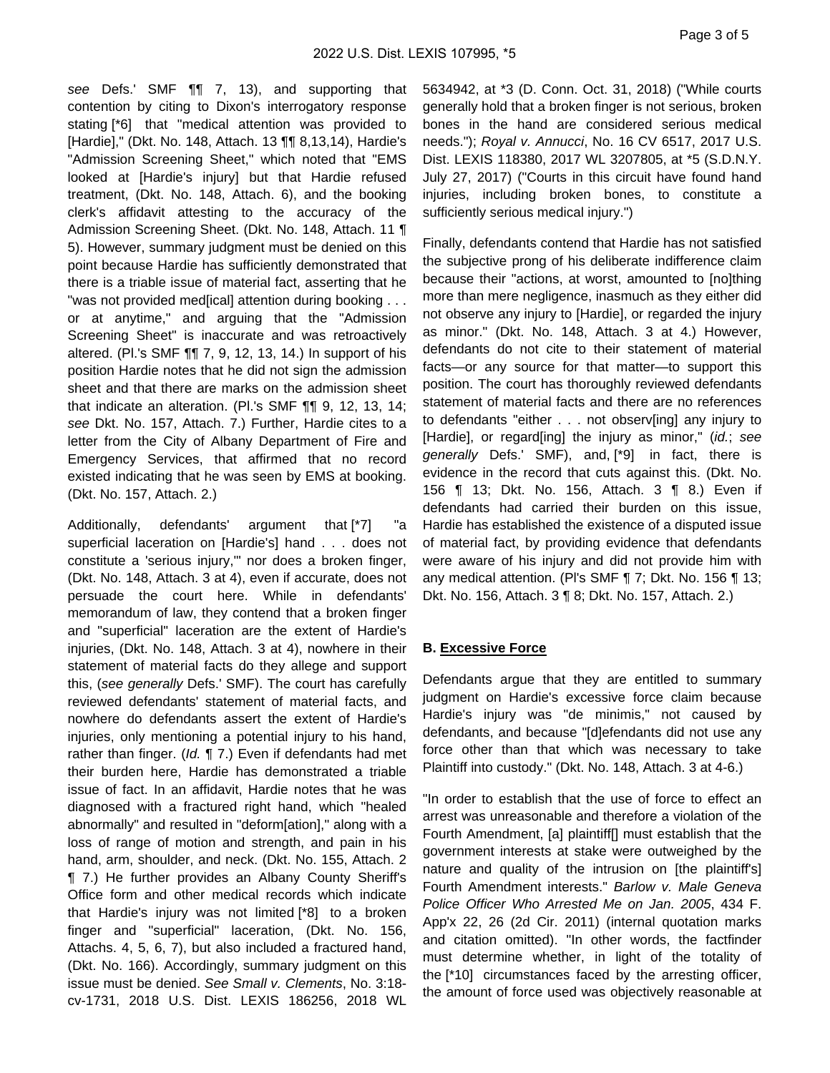see Defs.' SMF ¶¶ 7, 13), and supporting that contention by citing to Dixon's interrogatory response stating [\*6] that "medical attention was provided to [Hardie]," (Dkt. No. 148, Attach. 13 ¶¶ 8,13,14), Hardie's "Admission Screening Sheet," which noted that "EMS looked at [Hardie's injury] but that Hardie refused treatment, (Dkt. No. 148, Attach. 6), and the booking clerk's affidavit attesting to the accuracy of the Admission Screening Sheet. (Dkt. No. 148, Attach. 11 ¶ 5). However, summary judgment must be denied on this point because Hardie has sufficiently demonstrated that there is a triable issue of material fact, asserting that he "was not provided med[ical] attention during booking . . . or at anytime," and arguing that the "Admission Screening Sheet" is inaccurate and was retroactively altered. (Pl.'s SMF ¶¶ 7, 9, 12, 13, 14.) In support of his position Hardie notes that he did not sign the admission sheet and that there are marks on the admission sheet that indicate an alteration. (Pl.'s SMF ¶¶ 9, 12, 13, 14; see Dkt. No. 157, Attach. 7.) Further, Hardie cites to a letter from the City of Albany Department of Fire and Emergency Services, that affirmed that no record existed indicating that he was seen by EMS at booking. (Dkt. No. 157, Attach. 2.)

Additionally, defendants' argument that [\*7] "a superficial laceration on [Hardie's] hand . . . does not constitute a 'serious injury,'" nor does a broken finger, (Dkt. No. 148, Attach. 3 at 4), even if accurate, does not persuade the court here. While in defendants' memorandum of law, they contend that a broken finger and "superficial" laceration are the extent of Hardie's injuries, (Dkt. No. 148, Attach. 3 at 4), nowhere in their statement of material facts do they allege and support this, (see generally Defs.' SMF). The court has carefully reviewed defendants' statement of material facts, and nowhere do defendants assert the extent of Hardie's injuries, only mentioning a potential injury to his hand, rather than finger. (*Id.*  $\P$  7.) Even if defendants had met their burden here, Hardie has demonstrated a triable issue of fact. In an affidavit, Hardie notes that he was diagnosed with a fractured right hand, which "healed abnormally" and resulted in "deform[ation]," along with a loss of range of motion and strength, and pain in his hand, arm, shoulder, and neck. (Dkt. No. 155, Attach. 2 ¶ 7.) He further provides an Albany County Sheriff's Office form and other medical records which indicate that Hardie's injury was not limited [\*8] to a broken finger and "superficial" laceration, (Dkt. No. 156, Attachs. 4, 5, 6, 7), but also included a fractured hand, (Dkt. No. 166). Accordingly, summary judgment on this issue must be denied. See Small v. Clements, No. 3:18 cv-1731, 2018 U.S. Dist. LEXIS 186256, 2018 WL

5634942, at \*3 (D. Conn. Oct. 31, 2018) ("While courts generally hold that a broken finger is not serious, broken bones in the hand are considered serious medical needs."); Royal v. Annucci, No. 16 CV 6517, 2017 U.S. Dist. LEXIS 118380, 2017 WL 3207805, at \*5 (S.D.N.Y. July 27, 2017) ("Courts in this circuit have found hand injuries, including broken bones, to constitute a sufficiently serious medical injury.")

Finally, defendants contend that Hardie has not satisfied the subjective prong of his deliberate indifference claim because their "actions, at worst, amounted to [no]thing more than mere negligence, inasmuch as they either did not observe any injury to [Hardie], or regarded the injury as minor." (Dkt. No. 148, Attach. 3 at 4.) However, defendants do not cite to their statement of material facts—or any source for that matter—to support this position. The court has thoroughly reviewed defendants statement of material facts and there are no references to defendants "either . . . not observ[ing] any injury to [Hardie], or regard[ing] the injury as minor," (id.; see generally Defs.' SMF), and, [\*9] in fact, there is evidence in the record that cuts against this. (Dkt. No. 156 ¶ 13; Dkt. No. 156, Attach. 3 ¶ 8.) Even if defendants had carried their burden on this issue, Hardie has established the existence of a disputed issue of material fact, by providing evidence that defendants were aware of his injury and did not provide him with any medical attention. (Pl's SMF ¶ 7; Dkt. No. 156 ¶ 13; Dkt. No. 156, Attach. 3 ¶ 8; Dkt. No. 157, Attach. 2.)

## **B. Excessive Force**

Defendants argue that they are entitled to summary judgment on Hardie's excessive force claim because Hardie's injury was "de minimis," not caused by defendants, and because "[d]efendants did not use any force other than that which was necessary to take Plaintiff into custody." (Dkt. No. 148, Attach. 3 at 4-6.)

"In order to establish that the use of force to effect an arrest was unreasonable and therefore a violation of the Fourth Amendment, [a] plaintiff[] must establish that the government interests at stake were outweighed by the nature and quality of the intrusion on [the plaintiff's] Fourth Amendment interests." Barlow v. Male Geneva Police Officer Who Arrested Me on Jan. 2005, 434 F. App'x 22, 26 (2d Cir. 2011) (internal quotation marks and citation omitted). "In other words, the factfinder must determine whether, in light of the totality of the [\*10] circumstances faced by the arresting officer, the amount of force used was objectively reasonable at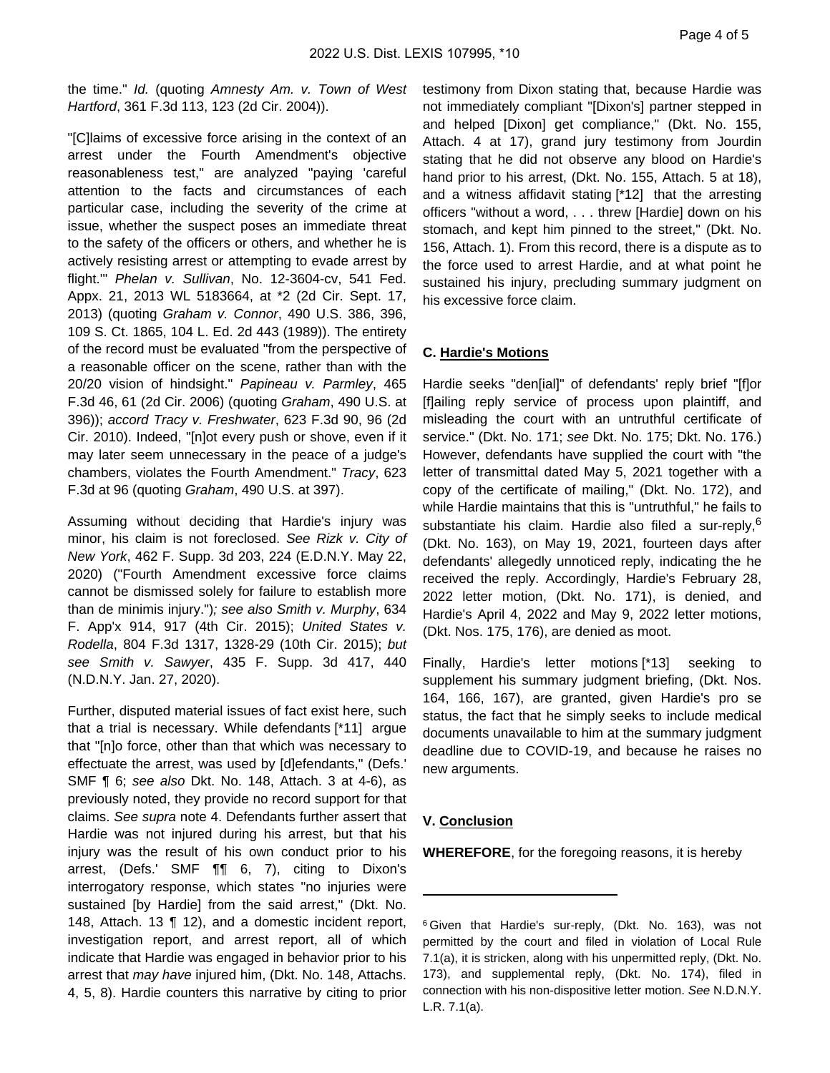the time." Id. (quoting Amnesty Am. v. Town of West Hartford, 361 F.3d 113, 123 (2d Cir. 2004)).

"[C]laims of excessive force arising in the context of an arrest under the Fourth Amendment's objective reasonableness test," are analyzed "paying 'careful attention to the facts and circumstances of each particular case, including the severity of the crime at issue, whether the suspect poses an immediate threat to the safety of the officers or others, and whether he is actively resisting arrest or attempting to evade arrest by flight.'" Phelan v. Sullivan, No. 12-3604-cv, 541 Fed. Appx. 21, 2013 WL 5183664, at \*2 (2d Cir. Sept. 17, 2013) (quoting Graham v. Connor, 490 U.S. 386, 396, 109 S. Ct. 1865, 104 L. Ed. 2d 443 (1989)). The entirety of the record must be evaluated "from the perspective of a reasonable officer on the scene, rather than with the 20/20 vision of hindsight." Papineau v. Parmley, 465 F.3d 46, 61 (2d Cir. 2006) (quoting Graham, 490 U.S. at 396)); accord Tracy v. Freshwater, 623 F.3d 90, 96 (2d Cir. 2010). Indeed, "[n]ot every push or shove, even if it may later seem unnecessary in the peace of a judge's chambers, violates the Fourth Amendment." Tracy, 623 F.3d at 96 (quoting Graham, 490 U.S. at 397).

Assuming without deciding that Hardie's injury was minor, his claim is not foreclosed. See Rizk v. City of New York, 462 F. Supp. 3d 203, 224 (E.D.N.Y. May 22, 2020) ("Fourth Amendment excessive force claims cannot be dismissed solely for failure to establish more than de minimis injury."); see also Smith v. Murphy, 634 F. App'x 914, 917 (4th Cir. 2015); United States v. Rodella, 804 F.3d 1317, 1328-29 (10th Cir. 2015); but see Smith v. Sawyer, 435 F. Supp. 3d 417, 440 (N.D.N.Y. Jan. 27, 2020).

Further, disputed material issues of fact exist here, such that a trial is necessary. While defendants [\*11] argue that "[n]o force, other than that which was necessary to effectuate the arrest, was used by [d]efendants," (Defs.' SMF ¶ 6; see also Dkt. No. 148, Attach. 3 at 4-6), as previously noted, they provide no record support for that claims. See supra note 4. Defendants further assert that Hardie was not injured during his arrest, but that his injury was the result of his own conduct prior to his arrest, (Defs.' SMF ¶¶ 6, 7), citing to Dixon's interrogatory response, which states "no injuries were sustained [by Hardie] from the said arrest," (Dkt. No. 148, Attach. 13 ¶ 12), and a domestic incident report, investigation report, and arrest report, all of which indicate that Hardie was engaged in behavior prior to his arrest that *may have* injured him, (Dkt. No. 148, Attachs. 4, 5, 8). Hardie counters this narrative by citing to prior

testimony from Dixon stating that, because Hardie was not immediately compliant "[Dixon's] partner stepped in and helped [Dixon] get compliance," (Dkt. No. 155, Attach. 4 at 17), grand jury testimony from Jourdin stating that he did not observe any blood on Hardie's hand prior to his arrest, (Dkt. No. 155, Attach. 5 at 18), and a witness affidavit stating [\*12] that the arresting officers "without a word, . . . threw [Hardie] down on his stomach, and kept him pinned to the street," (Dkt. No. 156, Attach. 1). From this record, there is a dispute as to the force used to arrest Hardie, and at what point he sustained his injury, precluding summary judgment on his excessive force claim.

#### **C. Hardie's Motions**

Hardie seeks "den[ial]" of defendants' reply brief "[f]or [f]ailing reply service of process upon plaintiff, and misleading the court with an untruthful certificate of service." (Dkt. No. 171; see Dkt. No. 175; Dkt. No. 176.) However, defendants have supplied the court with "the letter of transmittal dated May 5, 2021 together with a copy of the certificate of mailing," (Dkt. No. 172), and while Hardie maintains that this is "untruthful," he fails to substantiate his claim. Hardie also filed a sur-reply,  $6$ (Dkt. No. 163), on May 19, 2021, fourteen days after defendants' allegedly unnoticed reply, indicating the he received the reply. Accordingly, Hardie's February 28, 2022 letter motion, (Dkt. No. 171), is denied, and Hardie's April 4, 2022 and May 9, 2022 letter motions, (Dkt. Nos. 175, 176), are denied as moot.

Finally, Hardie's letter motions [\*13] seeking to supplement his summary judgment briefing, (Dkt. Nos. 164, 166, 167), are granted, given Hardie's pro se status, the fact that he simply seeks to include medical documents unavailable to him at the summary judgment deadline due to COVID-19, and because he raises no new arguments.

#### **V. Conclusion**

**WHEREFORE**, for the foregoing reasons, it is hereby

<sup>&</sup>lt;sup>6</sup> Given that Hardie's sur-reply, (Dkt. No. 163), was not permitted by the court and filed in violation of Local Rule 7.1(a), it is stricken, along with his unpermitted reply, (Dkt. No. 173), and supplemental reply, (Dkt. No. 174), filed in connection with his non-dispositive letter motion. See N.D.N.Y. L.R. 7.1(a).